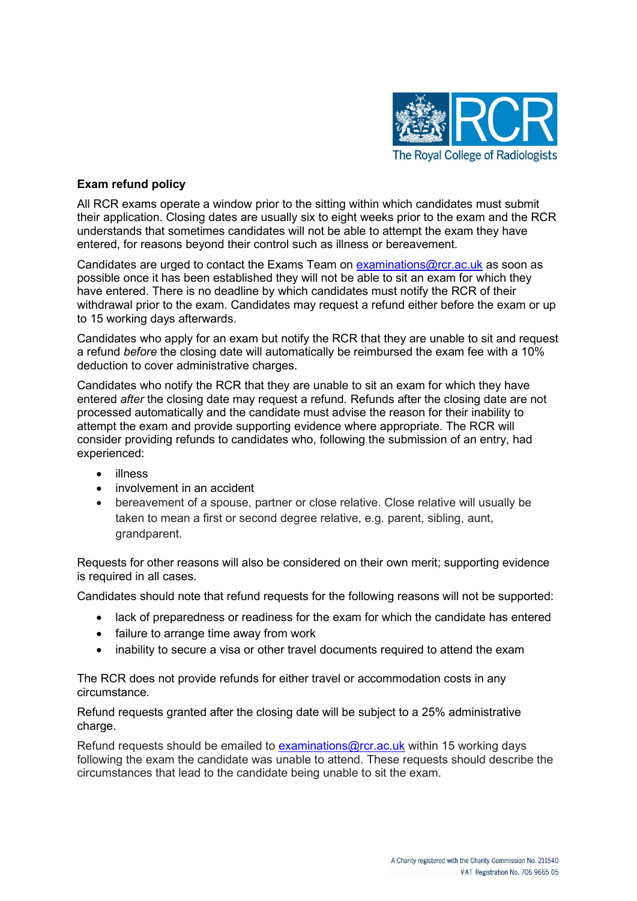

## **Exam refund policy**

All RCR exams operate a window prior to the sitting within which candidates must submit their application. Closing dates are usually six to eight weeks prior to the exam and the RCR understands that sometimes candidates will not be able to attempt the exam they have entered, for reasons beyond their control such as illness or bereavement.

Candidates are urged to contact the Exams Team on [examinations@rcr.ac.uk](mailto:examinations@rcr.ac.uk) as soon as possible once it has been established they will not be able to sit an exam for which they have entered. There is no deadline by which candidates must notify the RCR of their withdrawal prior to the exam. Candidates may request a refund either before the exam or up to 15 working days afterwards.

Candidates who apply for an exam but notify the RCR that they are unable to sit and request a refund *before* the closing date will automatically be reimbursed the exam fee with a 10% deduction to cover administrative charges.

Candidates who notify the RCR that they are unable to sit an exam for which they have entered *after* the closing date may request a refund. Refunds after the closing date are not processed automatically and the candidate must advise the reason for their inability to attempt the exam and provide supporting evidence where appropriate. The RCR will consider providing refunds to candidates who, following the submission of an entry, had experienced:

- illness
- involvement in an accident
- bereavement of a spouse, partner or close relative. Close relative will usually be taken to mean a first or second degree relative, e.g. parent, sibling, aunt, grandparent.

Requests for other reasons will also be considered on their own merit; supporting evidence is required in all cases.

Candidates should note that refund requests for the following reasons will not be supported:

- lack of preparedness or readiness for the exam for which the candidate has entered
- failure to arrange time away from work
- inability to secure a visa or other travel documents required to attend the exam

The RCR does not provide refunds for either travel or accommodation costs in any circumstance.

Refund requests granted after the closing date will be subject to a 25% administrative charge.

Refund requests should be emailed to **[examinations@rcr.ac.uk](mailto:examinations@rcr.ac.uk)** within 15 working days following the exam the candidate was unable to attend. These requests should describe the circumstances that lead to the candidate being unable to sit the exam.